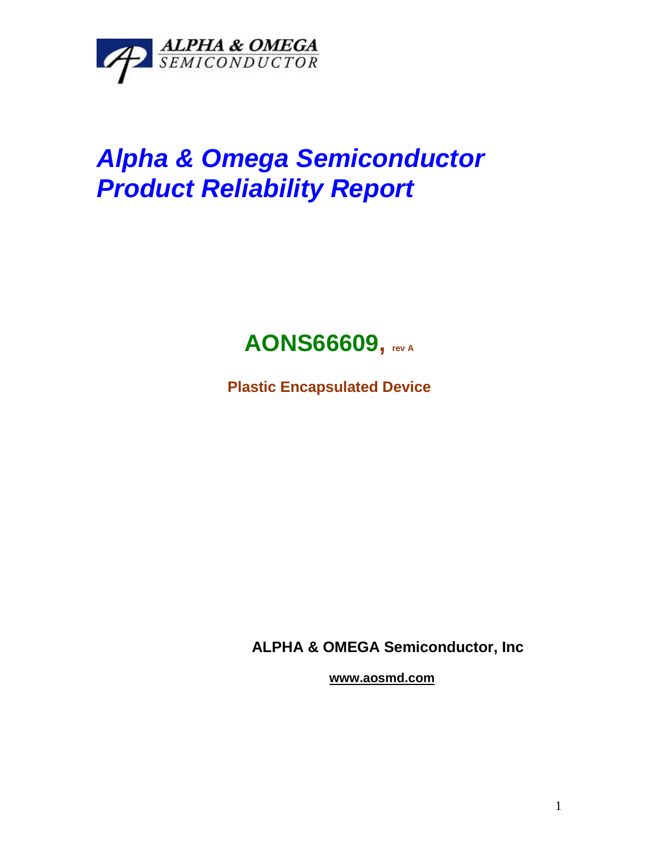

# *Alpha & Omega Semiconductor Product Reliability Report*



**Plastic Encapsulated Device**

**ALPHA & OMEGA Semiconductor, Inc**

**www.aosmd.com**